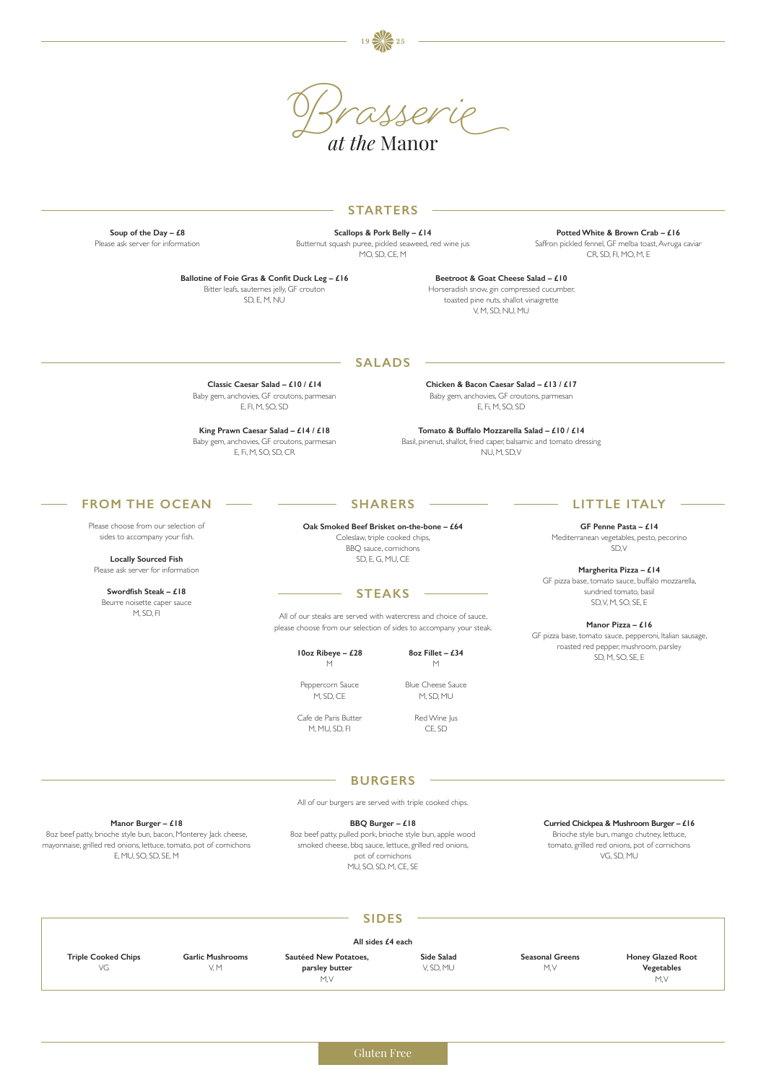**Soup of the Day – £8** Please ask server for information

**Scallops & Pork Belly – £14**  Butternut squash puree, pickled seaweed, red wine jus MO, SD, CE, M

**Potted White & Brown Crab – £16**  Saffron pickled fennel, GF melba toast, Avruga caviar CR, SD, FI, MO, M, E

**Ballotine of Foie Gras & Confit Duck Leg – £16**  Bitter leafs, sauternes jelly, GF crouton SD, E, M, NU

> **Tomato & Buffalo Mozzarella Salad – £10 / £14** Basil, pinenut, shallot, fried caper, balsamic and tomato dressing NU, M, SD, V

#### **Beetroot & Goat Cheese Salad – £10**  Horseradish snow, gin compressed cucumber, toasted pine nuts, shallot vinaigrette V, M, SD, NU, MU

### **STARTERS**

**Classic Caesar Salad – £10 / £14** Baby gem, anchovies, GF croutons, parmesan E, FI, M, SO, SD

**Chicken & Bacon Caesar Salad – £13 / £17** Baby gem, anchovies, GF croutons, parmesan E, Fi, M, SO, SD

**King Prawn Caesar Salad – £14 / £18** Baby gem, anchovies, GF croutons, parmesan E, Fi, M, SO, SD, CR

### **SALADS**

Gluten Free

|                            |                         | <b>SIDES</b>          |            |                        |                          |
|----------------------------|-------------------------|-----------------------|------------|------------------------|--------------------------|
| All sides £4 each          |                         |                       |            |                        |                          |
| <b>Triple Cooked Chips</b> | <b>Garlic Mushrooms</b> | Sautéed New Potatoes, | Side Salad | <b>Seasonal Greens</b> | <b>Honey Glazed Root</b> |
| VG                         | V.M                     | parsley butter        | V, SD, MU  | M.V                    | Vegetables               |
|                            |                         | M.V                   |            |                        | M, V                     |

#### **Manor Burger – £18**

8oz beef patty, brioche style bun, bacon, Monterey Jack cheese, mayonnaise, grilled red onions, lettuce, tomato, pot of cornichons E, MU, SO, SD, SE, M

#### **BBQ Burger – £18**

8oz beef patty, pulled pork, brioche style bun, apple wood smoked cheese, bbq sauce, lettuce, grilled red onions, pot of cornichons MU, SO, SD, M, CE, SE

#### **Curried Chickpea & Mushroom Burger – £16**

Brioche style bun, mango chutney, lettuce, tomato, grilled red onions, pot of cornichons VG, SD, MU

**BURGERS**

**Oak Smoked Beef Brisket on-the-bone – £64** Coleslaw, triple cooked chips, BBQ sauce, cornichons SD, E, G, MU, CE

# **SHARERS**

**GF Penne Pasta – £14**  Mediterranean vegetables, pesto, pecorino SD, V

**Margherita Pizza – £14**  GF pizza base, tomato sauce, buffalo mozzarella, sundried tomato, basil SD, V, M, SO, SE, E

**Manor Pizza – £16** 

GF pizza base, tomato sauce, pepperoni, Italian sausage, roasted red pepper, mushroom, parsley SD, M, SO, SE, E

# **LITTLE ITALY**

Please choose from our selection of sides to accompany your fish.

**Locally Sourced Fish** Please ask server for information

**Swordfish Steak – £18** Beurre noisette caper sauce M, SD, FI

# **FROM THE OCEAN**

# **STEAKS**

All of our steaks are served with watercress and choice of sauce, please choose from our selection of sides to accompany your steak.

> **10oz Ribeye – £28**  M

**8oz Fillet – £34**  M

Peppercorn Sauce M, SD, CE

Cafe de Paris Butter M, MU, SD, FI

Blue Cheese Sauce M, SD, MU

Red Wine Jus CE, SD